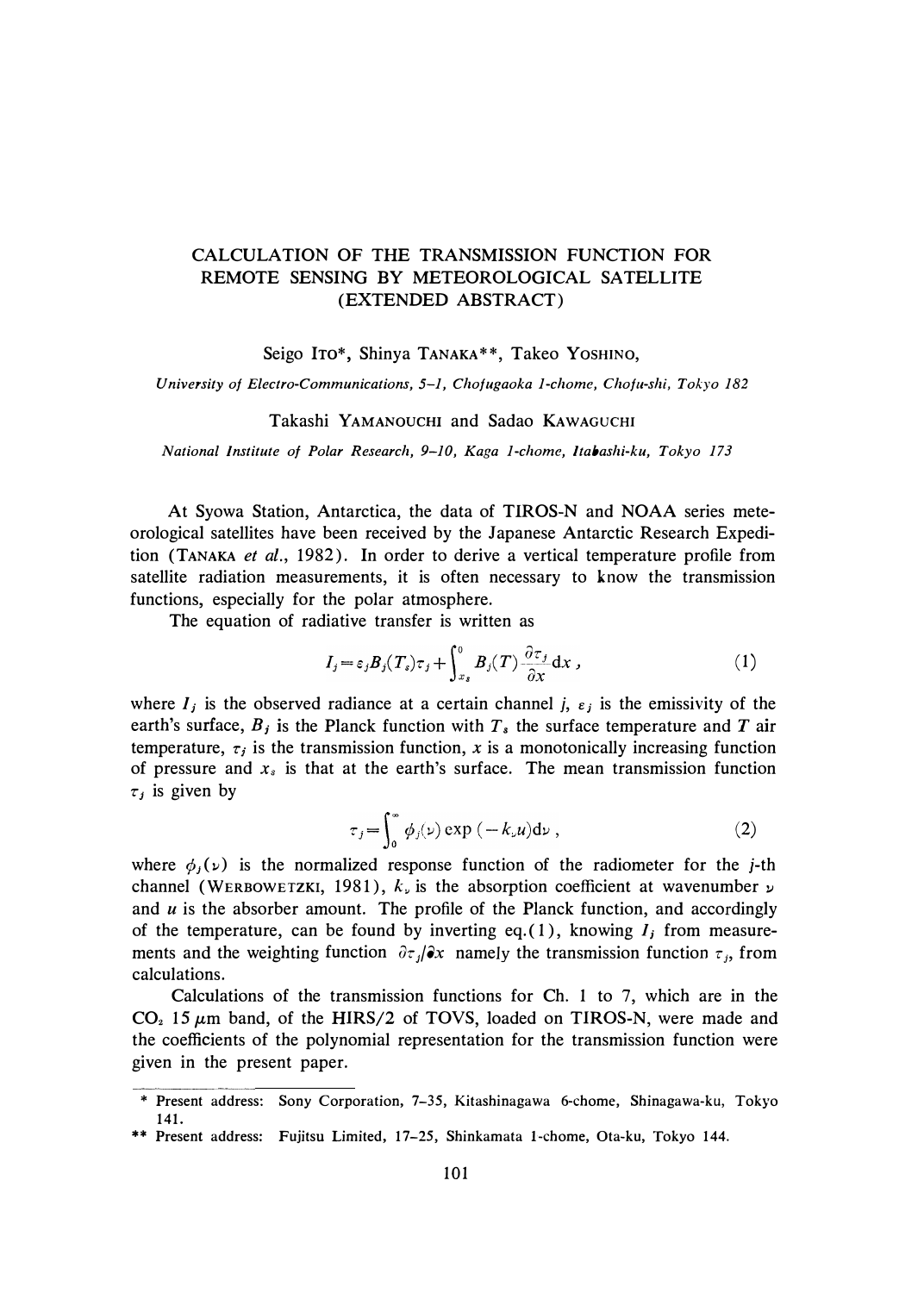# CALCULATION OF THE TRANSMISSION FUNCTION FOR REMOTE SENSING BY METEOROLOGICAL SATELLITE (EXTENDED ABSTRACT)

Seigo ITo\*, Shinya TANAKA\*\*, Takeo YOSHINO,

*University of Electro-Communications, 5-1, Chofugaoka 1-chome, Chofu-shi, Tokyo 182* 

## Takashi YAMANOUCHI and Sadao KAWAGUCHI

*National Institute of Polar Research, 9-10, Kaga 1-chome, Jtabashi-ku, Tokyo 173* 

At Syowa Station, Antarctica, the data of TIROS-N and NOAA series meteorological satellites have been received by the Japanese Antarctic Research Expedition (TANAKA *et al.,* 1982). In order to derive a vertical temperature profile from satellite radiation measurements, it is often necessary to know the transmission functions, especially for the polar atmosphere.

The equation of radiative transfer is written as

$$
I_j = \varepsilon_j B_j(T_s) \tau_j + \int_{x_s}^0 B_j(T) \frac{\partial \tau_j}{\partial x} dx \,, \tag{1}
$$

where  $I_j$  is the observed radiance at a certain channel j,  $\varepsilon_j$  is the emissivity of the earth's surface,  $B_j$  is the Planck function with  $T_s$  the surface temperature and  $T$  air temperature,  $\tau_i$  is the transmission function, x is a monotonically increasing function of pressure and  $x_s$  is that at the earth's surface. The mean transmission function  $\tau_j$  is given by

$$
\tau_j = \int_0^\infty \phi_j(\nu) \exp\left(-k_\nu u\right) d\nu \,, \tag{2}
$$

where  $\phi_i(\nu)$  is the normalized response function of the radiometer for the j-th channel (WERBOWETZKI, 1981),  $k_{\nu}$  is the absorption coefficient at wavenumber  $\nu$ and *u* is the absorber amount. The profile of the Planck function, and accordingly of the temperature, can be found by inverting eq. (1), knowing  $I_i$  from measurements and the weighting function  $\partial \tau_j / \partial x$  namely the transmission function  $\tau_j$ , from calculations.

Calculations of the transmission functions for Ch. 1 to 7, which are in the  $CO<sub>2</sub>$  15  $\mu$ m band, of the HIRS/2 of TOVS, loaded on TIROS-N, were made and the coefficients of the polynomial representation for the transmission function were given in the present paper.

<sup>\*</sup> Present address: Sony Corporation, 7-35, Kitashinagawa 6-chome, Shinagawa-ku, Tokyo 141.

<sup>\*\*</sup> Present address: Fujitsu Limited, 17-25, Shinkamata l-chome, Ota-ku, Tokyo 144.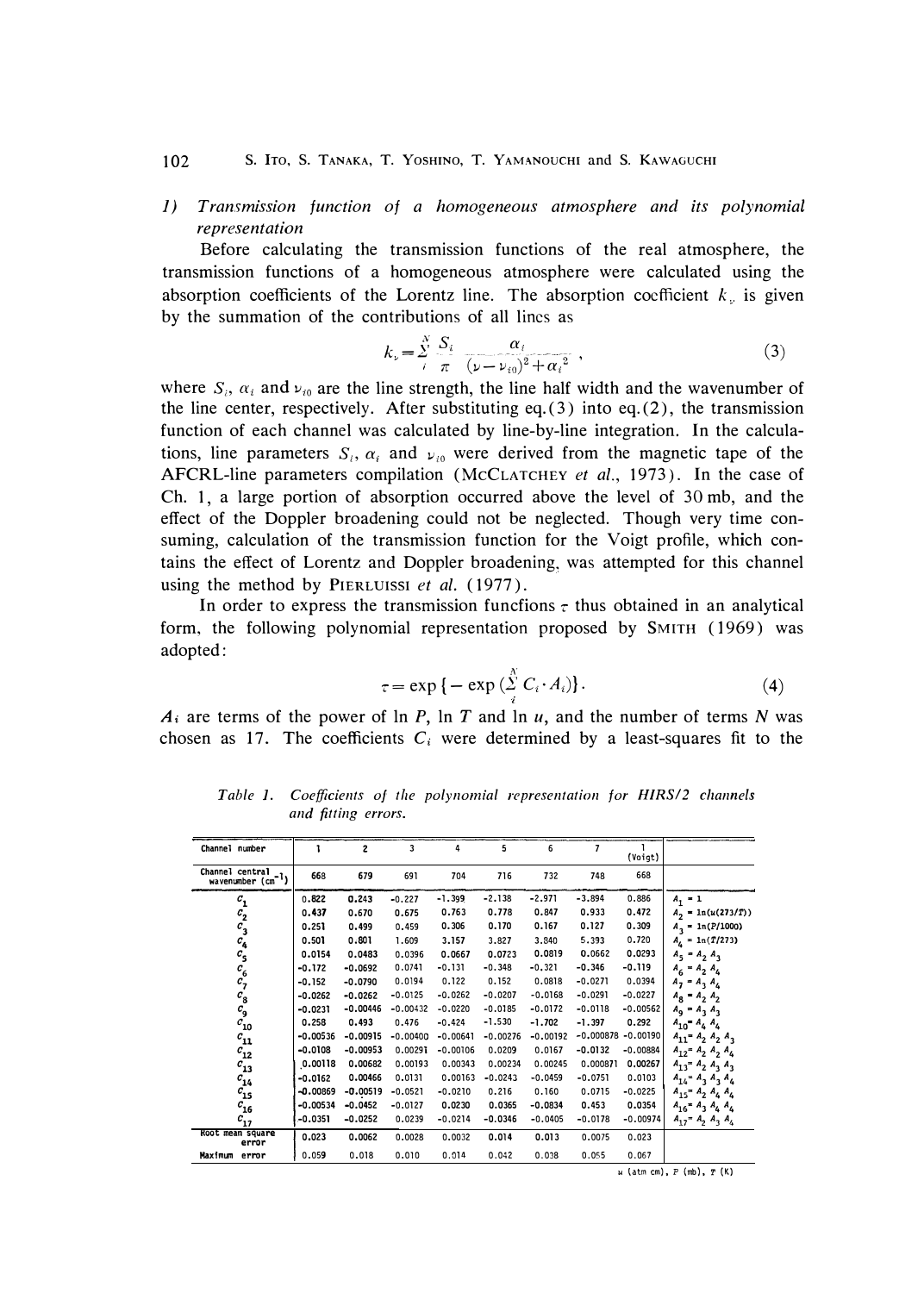#### *102* s. **ITO,** S. **TANAKA, T. YOSHINO, T. YAMANOUCHI** and s. **KAWAGUCHI**

*J) Transmission function of a homogeneous atmosphere and its polynomial representation* 

Before calculating the transmission functions of the real atmosphere, the *transmission functions of a homogeneous atmosphere were calculated using the absorption coefficients of the Lorentz line. The absorption coefficient*  $k_{n}$  *is given by the summation of the contributions of all lines as* 

$$
k_{\nu} = \sum_{i}^{N} \frac{S_i}{\pi} \frac{\alpha_i}{(\nu - \nu_{i0})^2 + {\alpha_i}^2}, \qquad (3)
$$

where  $S_i$ ,  $\alpha_i$  and  $\nu_{i0}$  are the line strength, the line half width and the wavenumber of *the line center, respectively. After substituting eq. ( 3) into eq. (2), the transmission function of each channel was calculated by line-by-line integration. In the calcula*tions, line parameters  $S_i$ ,  $\alpha_i$  and  $\nu_{i0}$  were derived from the magnetic tape of the *AFCRL-line parameters compilation (MCCLATCHEY et al., 1973). In the case of Ch. 1, a large portion of absorption occurred above the level of 30 mb, and the effect of the Doppler broadening could not be neglected. Though very time consuming, calculation of the transmission function for the Voigt profile, which con*tains the effect of Lorentz and Doppler broadening, was attempted for this channel *using the method by* PIERLUISSI *et al. (1977).* 

In order to express the transmission funcfions  $\tau$  thus obtained in an analytical *form, the following polynomial representation proposed by SMITH ( 1969) was adopted:* 

$$
\tau = \exp\left\{-\exp\left(\sum_{i}^{N} C_i \cdot A_i\right)\right\}.
$$
 (4)

 $A_i$  are terms of the power of  $\ln P$ ,  $\ln T$  and  $\ln u$ , and the number of terms N was chosen as 17. The coefficients  $C_i$  were determined by a least-squares fit to the

**Channel number** 1 2 3 4 **5** 6 7 1 (Voigt) **Channel central 1 668 679 691 704 716 732 748 668 c1** 0.822 0.243 -0.227 -1.399 -2.138 -2.971 -3.894 0.886 **A1 • l**  *c2* **0.437 0.670 0.675 0.763 0.778 0.847 0.933 0.472 <sup>A</sup>**  $\overline{P_2}$  **=** 1n(*u*(273/*T*)) **<sup>c</sup>l 0.251 0.499** 0.459 **0.306 0.170 0.167 0.127 0.309 <sup>A</sup>**  $A_3 = \ln(P/1000)$  $\begin{array}{cc} c_1 & c_2 \\ c_3 & c_4 \\ c_5 & c_6 \\ c_7 & c_8 \\ c_{10} & c_{11} \\ c_{11} & c_{12} \\ c_{12} & c_{13} \\ c_{14} & c_{15} \end{array}$ **6 1 0.501 0.801 1.609 3.157 3.827 3.840 5.393 0.720 A**<sub>**4**</sub> **= 1**n(**T**/273) **<sup>c</sup>s 0.0154 0.0483** 0.0396 **0.0667 0.0723 0.0819** 0.0662 **0.0293 <sup>A</sup>**  $A_5 = A_2 A_3$ <br> $A_6 = A_2 A_4$ **<sup>c</sup>6 -0.172 -0.0692** 0.0741 -0.131 -0.348 -0.321 **-0.346 -0.119 <sup>A</sup>**  $A_6 = A_2 A_4$ **<sup>c</sup>1 -0.152 -0.0790** 0.0194 0.122 0.152 0.0818 -0.0271 0.0394 **<sup>A</sup>**  $A_7 = A_3 A_4$ <br> $A_8 = A_2 A_2$ **cs -0.0262 -0.0262** -0.0125 -o. 0252 -0 .0207 -0.0168 -0.0291 -0.0227 **As**  $A_2 A_2$ **c0.0231 -0.00446** -0.00432 -0.0220 -0.0185 -0.0172 -0.0118 -0.00562  $A_9 = A_3$ <br>**0.258 0.493** 0.476 -0.424 -1.530 -1.702 -1.397 0.292  $A_{10} = A_4$ **9** = **<sup>A</sup>**  $\bf{A}_3$ **ClO 0.258 0.493** 0.476 -0.424 -1.530 **-1.702 -1.397 0.292 A10• A4 A4 <sup>c</sup>u -0.00536 -0.00915** -0. 00400 -0.00641 -0.00276 -0.00192 -0.000878 -0.00190 **A<sup>u</sup> <sup>=</sup>A z A z A 3 c12 -0.0108 -0.00953** 0.00291 -0.00106 0.0209 0.0167 **-0.0132** -0.00884 **<sup>A</sup>**  $\frac{1}{2}$   $\frac{1}{2}$   $\frac{1}{2}$   $\frac{1}{4}$ **c13 0.00118 0.00682** 0.00193 0.00343 0.00234 0.00245 0.000871 **0.00267 A13= <sup>A</sup>**  $A_2$   $A_3$   $A_3$ **cl4 -0.0162 0.00466** 0.0131 0.00153 -0.0243 •0.0459 -0.0751 0.0103 **A14<sup>=</sup><sup>A</sup>**  $A_3$   $A_4$ **<sup>c</sup>is -0.00869 -0.00519** -0.0521 -0.0210 0.216 0.160 0.0715 -0.0225 **<sup>A</sup>**  $A_1$ <sub>5</sub> =  $A_2$   $A_4$   $A_4$ **c16 -0.00534 -0.0452** -0.0127 **0.0230 0.0365 -0.0834 0.453 0.0354 Al6<sup>=</sup><sup>A</sup>**  $A_{16}$  **a**<sub>4</sub>  $A_4$   $A_4$ *en* **-0.0351 -0.0252** 0.0239 -0.0214 **-0.0346** -0.0405 -0.0178 -0.00974 **<sup>A</sup>**  $A_1$ <sup>2</sup> $A_2$  $\frac{1}{3}$  **A 4 Root mean square 0.023 0.0062** 0.0028 0.0032 **0.014 0.013** 0.0075 0.023 **error Maximum error \$0.059 0.018 0.010 0.014 0.042 0.038 0.055 0.067** 

Table 1. Coefficients of the polynomial representation for HIRS/2 channels *and fitting errors.* 

u (atm cm), *P* (mb), *T* (Kl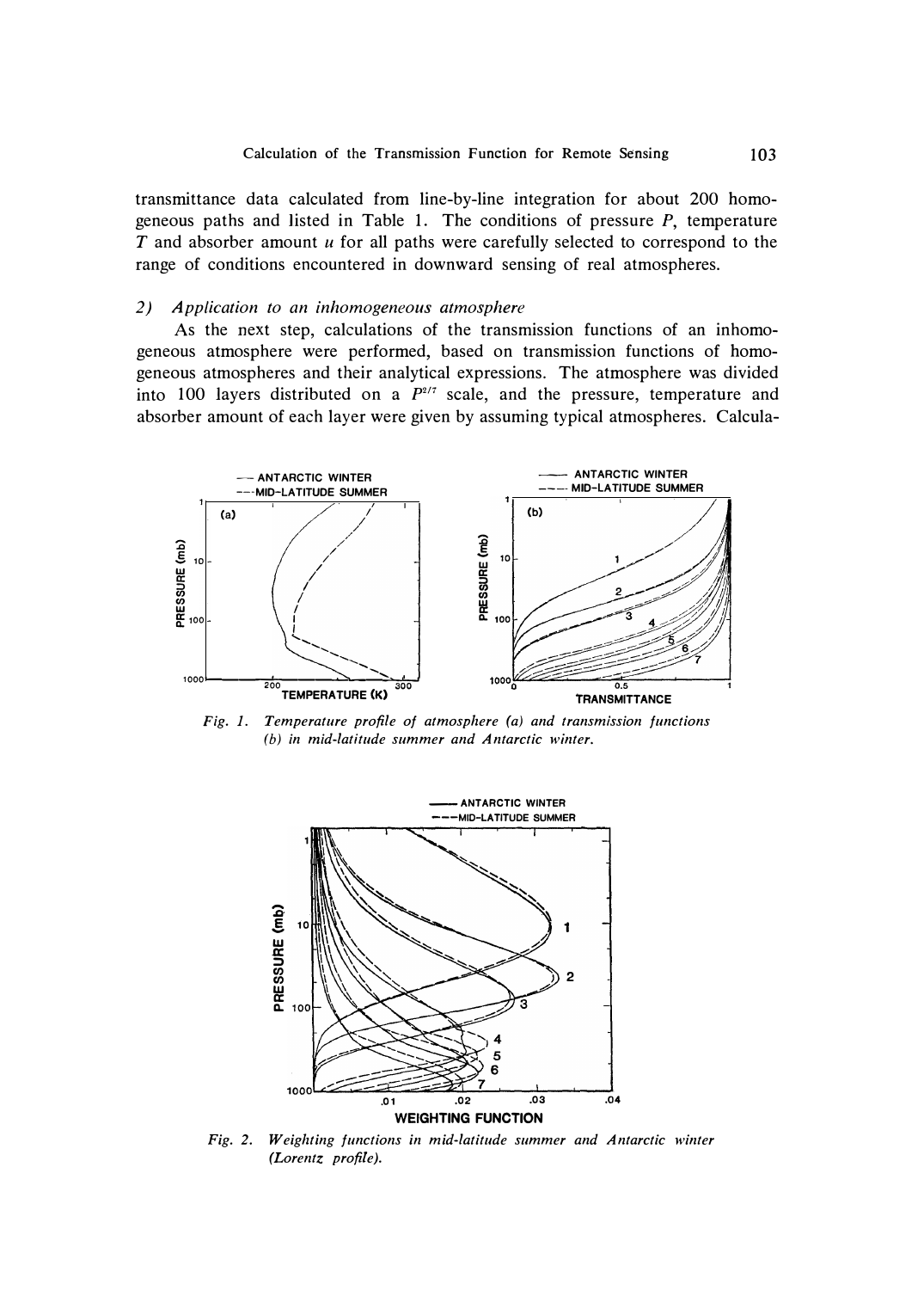*transmittance data calculated from line-by-line integration for about 200 homogeneous paths and listed in Table 1. The conditions of pressure P, temperature T and absorber amount u for all paths were carefully selected to correspond to the range of conditions encountered in downward sensing of real atmospheres.* 

## *2) Application to an inhomogeneous atmosphere*

*As the next step, calculations of the transmission functions of an inhomogeneous atmosphere were performed, based on transmission functions of homogeneous atmospheres and their analytical expressions. The atmosphere was divided into 100 layers distributed on a P217 scale, and the pressure, temperature and absorber amount of each layer were given by assuming typical atmospheres. Calcula-*



*Fig. 1. Temperature profile of atmosphere (a) and transmission functions (b) in mid-latitude summer and Antarctic winter.* 



*Fig. 2. Weighting functions in mid-latitude summer and Antarctic winter (Lorentz profile).*